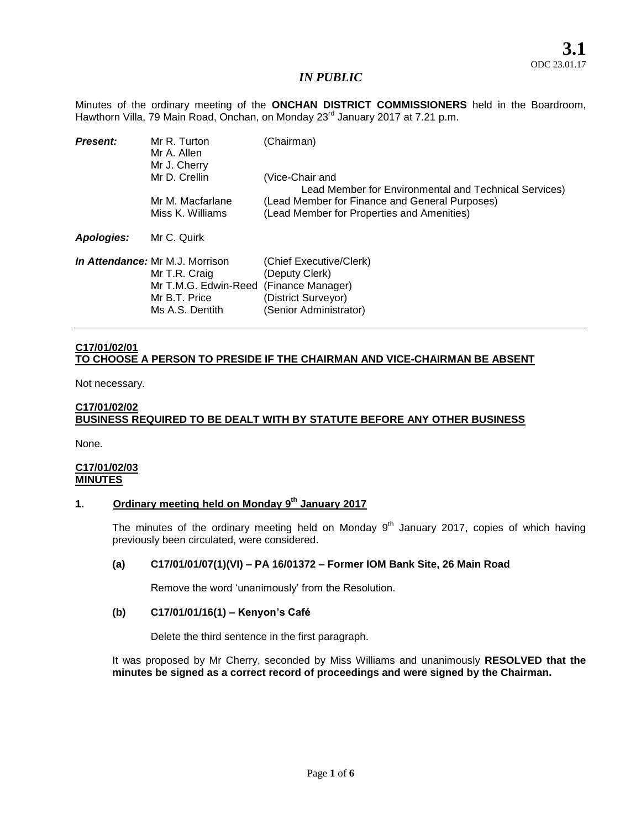Minutes of the ordinary meeting of the **ONCHAN DISTRICT COMMISSIONERS** held in the Boardroom, Hawthorn Villa, 79 Main Road, Onchan, on Monday 23<sup>rd</sup> January 2017 at 7.21 p.m.

| <b>Present:</b> | Mr R. Turton<br>Mr A. Allen<br>Mr J. Cherry                                                                         | (Chairman)                                                                                                      |
|-----------------|---------------------------------------------------------------------------------------------------------------------|-----------------------------------------------------------------------------------------------------------------|
|                 | Mr D. Crellin                                                                                                       | (Vice-Chair and<br>Lead Member for Environmental and Technical Services)                                        |
|                 | Mr M. Macfarlane<br>Miss K. Williams                                                                                | (Lead Member for Finance and General Purposes)<br>(Lead Member for Properties and Amenities)                    |
| Apologies:      | Mr C. Quirk                                                                                                         |                                                                                                                 |
|                 | <i>In Attendance:</i> Mr M.J. Morrison<br>Mr T.R. Craig<br>Mr T.M.G. Edwin-Reed<br>Mr B.T. Price<br>Ms A.S. Dentith | (Chief Executive/Clerk)<br>(Deputy Clerk)<br>(Finance Manager)<br>(District Surveyor)<br>(Senior Administrator) |

# **C17/01/02/01 TO CHOOSE A PERSON TO PRESIDE IF THE CHAIRMAN AND VICE-CHAIRMAN BE ABSENT**

Not necessary.

## **C17/01/02/02 BUSINESS REQUIRED TO BE DEALT WITH BY STATUTE BEFORE ANY OTHER BUSINESS**

None.

# **C17/01/02/03 MINUTES**

# **1. Ordinary meeting held on Monday 9 th January 2017**

The minutes of the ordinary meeting held on Monday  $9<sup>th</sup>$  January 2017, copies of which having previously been circulated, were considered.

# **(a) C17/01/01/07(1)(VI) – PA 16/01372 – Former IOM Bank Site, 26 Main Road**

Remove the word 'unanimously' from the Resolution.

### **(b) C17/01/01/16(1) – Kenyon's Café**

Delete the third sentence in the first paragraph.

It was proposed by Mr Cherry, seconded by Miss Williams and unanimously **RESOLVED that the minutes be signed as a correct record of proceedings and were signed by the Chairman.**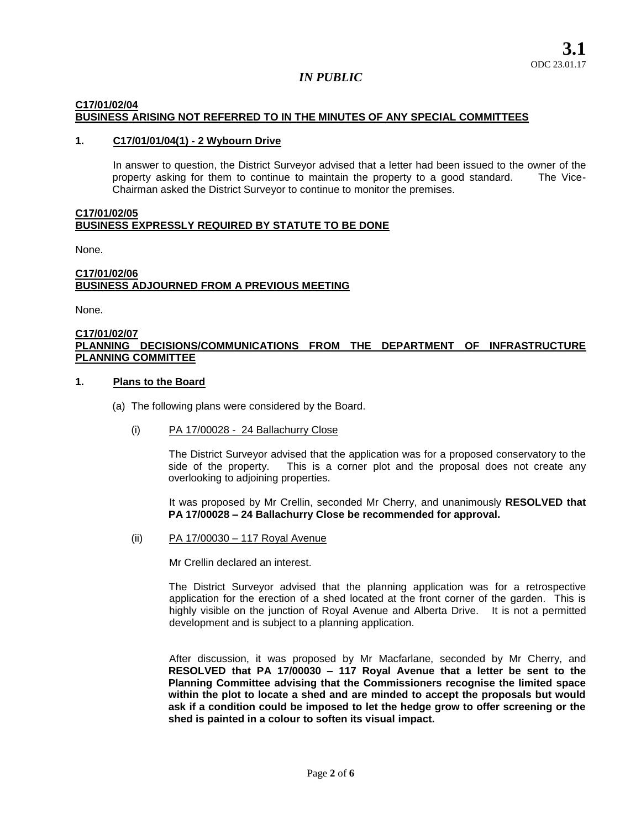# **C17/01/02/04 BUSINESS ARISING NOT REFERRED TO IN THE MINUTES OF ANY SPECIAL COMMITTEES**

### **1. C17/01/01/04(1) - 2 Wybourn Drive**

In answer to question, the District Surveyor advised that a letter had been issued to the owner of the property asking for them to continue to maintain the property to a good standard. The Vice-Chairman asked the District Surveyor to continue to monitor the premises.

#### **C17/01/02/05 BUSINESS EXPRESSLY REQUIRED BY STATUTE TO BE DONE**

None.

#### **C17/01/02/06 BUSINESS ADJOURNED FROM A PREVIOUS MEETING**

None.

#### **C17/01/02/07 PLANNING DECISIONS/COMMUNICATIONS FROM THE DEPARTMENT OF INFRASTRUCTURE PLANNING COMMITTEE**

### **1. Plans to the Board**

- (a) The following plans were considered by the Board.
	- (i) PA 17/00028 24 Ballachurry Close

The District Surveyor advised that the application was for a proposed conservatory to the side of the property. This is a corner plot and the proposal does not create any overlooking to adjoining properties.

It was proposed by Mr Crellin, seconded Mr Cherry, and unanimously **RESOLVED that PA 17/00028 – 24 Ballachurry Close be recommended for approval.** 

(ii) PA 17/00030 – 117 Royal Avenue

Mr Crellin declared an interest.

The District Surveyor advised that the planning application was for a retrospective application for the erection of a shed located at the front corner of the garden. This is highly visible on the junction of Royal Avenue and Alberta Drive. It is not a permitted development and is subject to a planning application.

After discussion, it was proposed by Mr Macfarlane, seconded by Mr Cherry, and **RESOLVED that PA 17/00030 – 117 Royal Avenue that a letter be sent to the Planning Committee advising that the Commissioners recognise the limited space within the plot to locate a shed and are minded to accept the proposals but would ask if a condition could be imposed to let the hedge grow to offer screening or the shed is painted in a colour to soften its visual impact.**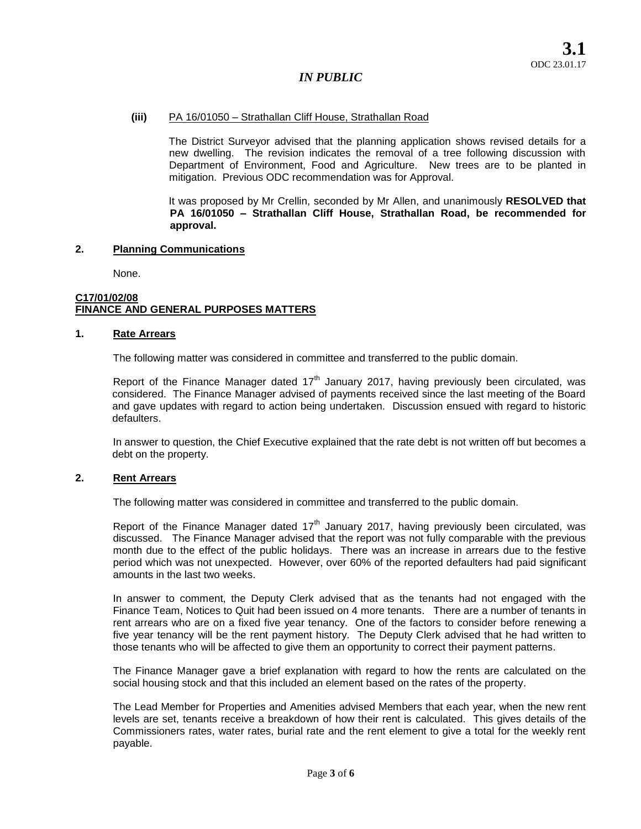### **(iii)** PA 16/01050 – Strathallan Cliff House, Strathallan Road

The District Surveyor advised that the planning application shows revised details for a new dwelling. The revision indicates the removal of a tree following discussion with Department of Environment, Food and Agriculture. New trees are to be planted in mitigation. Previous ODC recommendation was for Approval.

It was proposed by Mr Crellin, seconded by Mr Allen, and unanimously **RESOLVED that PA 16/01050 – Strathallan Cliff House, Strathallan Road, be recommended for approval.** 

### **2. Planning Communications**

None.

#### **C17/01/02/08 FINANCE AND GENERAL PURPOSES MATTERS**

### **1. Rate Arrears**

The following matter was considered in committee and transferred to the public domain.

Report of the Finance Manager dated  $17<sup>th</sup>$  January 2017, having previously been circulated, was considered. The Finance Manager advised of payments received since the last meeting of the Board and gave updates with regard to action being undertaken. Discussion ensued with regard to historic defaulters.

In answer to question, the Chief Executive explained that the rate debt is not written off but becomes a debt on the property.

### **2. Rent Arrears**

The following matter was considered in committee and transferred to the public domain.

Report of the Finance Manager dated  $17<sup>th</sup>$  January 2017, having previously been circulated, was discussed. The Finance Manager advised that the report was not fully comparable with the previous month due to the effect of the public holidays. There was an increase in arrears due to the festive period which was not unexpected. However, over 60% of the reported defaulters had paid significant amounts in the last two weeks.

In answer to comment, the Deputy Clerk advised that as the tenants had not engaged with the Finance Team, Notices to Quit had been issued on 4 more tenants. There are a number of tenants in rent arrears who are on a fixed five year tenancy. One of the factors to consider before renewing a five year tenancy will be the rent payment history. The Deputy Clerk advised that he had written to those tenants who will be affected to give them an opportunity to correct their payment patterns.

The Finance Manager gave a brief explanation with regard to how the rents are calculated on the social housing stock and that this included an element based on the rates of the property.

The Lead Member for Properties and Amenities advised Members that each year, when the new rent levels are set, tenants receive a breakdown of how their rent is calculated. This gives details of the Commissioners rates, water rates, burial rate and the rent element to give a total for the weekly rent payable.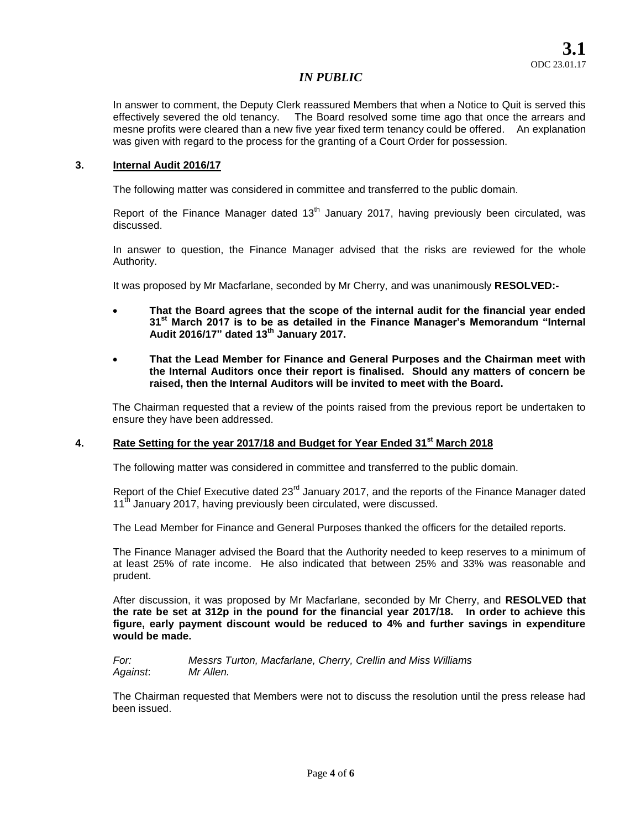In answer to comment, the Deputy Clerk reassured Members that when a Notice to Quit is served this effectively severed the old tenancy. The Board resolved some time ago that once the arrears and mesne profits were cleared than a new five year fixed term tenancy could be offered. An explanation was given with regard to the process for the granting of a Court Order for possession.

### **3. Internal Audit 2016/17**

The following matter was considered in committee and transferred to the public domain.

Report of the Finance Manager dated  $13<sup>th</sup>$  January 2017, having previously been circulated, was discussed.

In answer to question, the Finance Manager advised that the risks are reviewed for the whole Authority.

It was proposed by Mr Macfarlane, seconded by Mr Cherry, and was unanimously **RESOLVED:-**

- **That the Board agrees that the scope of the internal audit for the financial year ended 31st March 2017 is to be as detailed in the Finance Manager's Memorandum "Internal Audit 2016/17" dated 13th January 2017.**
- **That the Lead Member for Finance and General Purposes and the Chairman meet with the Internal Auditors once their report is finalised. Should any matters of concern be raised, then the Internal Auditors will be invited to meet with the Board.**

The Chairman requested that a review of the points raised from the previous report be undertaken to ensure they have been addressed.

# **4. Rate Setting for the year 2017/18 and Budget for Year Ended 31st March 2018**

The following matter was considered in committee and transferred to the public domain.

Report of the Chief Executive dated 23<sup>rd</sup> January 2017, and the reports of the Finance Manager dated 11<sup>th</sup> January 2017, having previously been circulated, were discussed.

The Lead Member for Finance and General Purposes thanked the officers for the detailed reports.

The Finance Manager advised the Board that the Authority needed to keep reserves to a minimum of at least 25% of rate income. He also indicated that between 25% and 33% was reasonable and prudent.

After discussion, it was proposed by Mr Macfarlane, seconded by Mr Cherry, and **RESOLVED that the rate be set at 312p in the pound for the financial year 2017/18. In order to achieve this figure, early payment discount would be reduced to 4% and further savings in expenditure would be made.** 

*For: Messrs Turton, Macfarlane, Cherry, Crellin and Miss Williams Against*: *Mr Allen.* 

The Chairman requested that Members were not to discuss the resolution until the press release had been issued.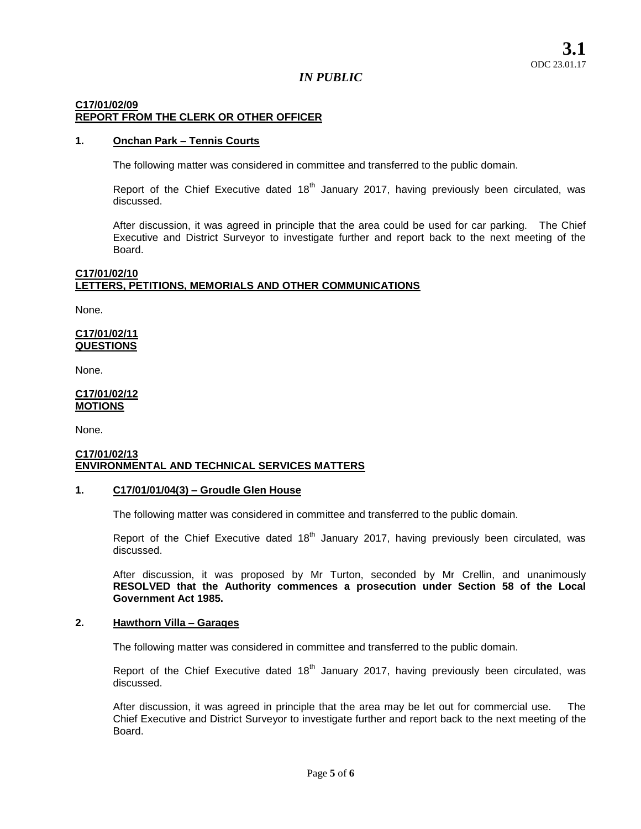# **C17/01/02/09 REPORT FROM THE CLERK OR OTHER OFFICER**

## **1. Onchan Park – Tennis Courts**

The following matter was considered in committee and transferred to the public domain.

Report of the Chief Executive dated  $18<sup>th</sup>$  January 2017, having previously been circulated, was discussed.

After discussion, it was agreed in principle that the area could be used for car parking. The Chief Executive and District Surveyor to investigate further and report back to the next meeting of the Board.

#### **C17/01/02/10 LETTERS, PETITIONS, MEMORIALS AND OTHER COMMUNICATIONS**

None.

## **C17/01/02/11 QUESTIONS**

None.

# **C17/01/02/12 MOTIONS**

None.

#### **C17/01/02/13 ENVIRONMENTAL AND TECHNICAL SERVICES MATTERS**

# **1. C17/01/01/04(3) – Groudle Glen House**

The following matter was considered in committee and transferred to the public domain.

Report of the Chief Executive dated  $18<sup>th</sup>$  January 2017, having previously been circulated, was discussed.

After discussion, it was proposed by Mr Turton, seconded by Mr Crellin, and unanimously **RESOLVED that the Authority commences a prosecution under Section 58 of the Local Government Act 1985.** 

### **2. Hawthorn Villa – Garages**

The following matter was considered in committee and transferred to the public domain.

Report of the Chief Executive dated  $18<sup>th</sup>$  January 2017, having previously been circulated, was discussed.

After discussion, it was agreed in principle that the area may be let out for commercial use. The Chief Executive and District Surveyor to investigate further and report back to the next meeting of the Board.